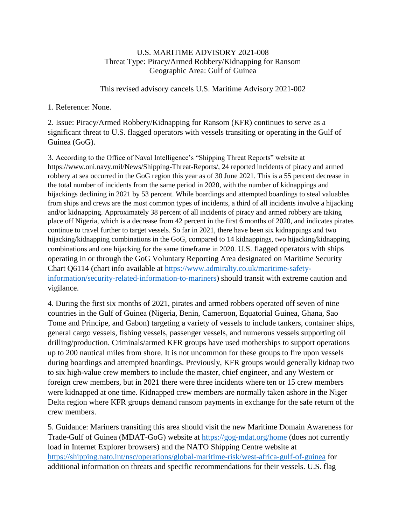## U.S. MARITIME ADVISORY 2021-008 Threat Type: Piracy/Armed Robbery/Kidnapping for Ransom Geographic Area: Gulf of Guinea

This revised advisory cancels U.S. Maritime Advisory 2021-002

1. Reference: None.

2. Issue: Piracy/Armed Robbery/Kidnapping for Ransom (KFR) continues to serve as a significant threat to U.S. flagged operators with vessels transiting or operating in the Gulf of Guinea (GoG).

3. According to the Office of Naval Intelligence's "Shipping Threat Reports" website at https://www.oni.navy.mil/News/Shipping-Threat-Reports/, 24 reported incidents of piracy and armed robbery at sea occurred in the GoG region this year as of 30 June 2021. This is a 55 percent decrease in the total number of incidents from the same period in 2020, with the number of kidnappings and hijackings declining in 2021 by 53 percent. While boardings and attempted boardings to steal valuables from ships and crews are the most common types of incidents, a third of all incidents involve a hijacking and/or kidnapping. Approximately 38 percent of all incidents of piracy and armed robbery are taking place off Nigeria, which is a decrease from 42 percent in the first 6 months of 2020, and indicates pirates continue to travel further to target vessels. So far in 2021, there have been six kidnappings and two hijacking/kidnapping combinations in the GoG, compared to 14 kidnappings, two hijacking/kidnapping combinations and one hijacking for the same timeframe in 2020. U.S. flagged operators with ships operating in or through the GoG Voluntary Reporting Area designated on Maritime Security Chart Q6114 (chart info available at [https://www.admiralty.co.uk/maritime-safety](https://www.admiralty.co.uk/maritime-safety-information/security-related-information-to-mariners)[information/security-related-information-to-mariners\)](https://www.admiralty.co.uk/maritime-safety-information/security-related-information-to-mariners) should transit with extreme caution and vigilance.

4. During the first six months of 2021, pirates and armed robbers operated off seven of nine countries in the Gulf of Guinea (Nigeria, Benin, Cameroon, Equatorial Guinea, Ghana, Sao Tome and Principe, and Gabon) targeting a variety of vessels to include tankers, container ships, general cargo vessels, fishing vessels, passenger vessels, and numerous vessels supporting oil drilling/production. Criminals/armed KFR groups have used motherships to support operations up to 200 nautical miles from shore. It is not uncommon for these groups to fire upon vessels during boardings and attempted boardings. Previously, KFR groups would generally kidnap two to six high-value crew members to include the master, chief engineer, and any Western or foreign crew members, but in 2021 there were three incidents where ten or 15 crew members were kidnapped at one time. Kidnapped crew members are normally taken ashore in the Niger Delta region where KFR groups demand ransom payments in exchange for the safe return of the crew members.

5. Guidance: Mariners transiting this area should visit the new Maritime Domain Awareness for Trade-Gulf of Guinea (MDAT-GoG) website at<https://gog-mdat.org/home> (does not currently load in Internet Explorer browsers) and the NATO Shipping Centre website at <https://shipping.nato.int/nsc/operations/global-maritime-risk/west-africa-gulf-of-guinea> for additional information on threats and specific recommendations for their vessels. U.S. flag